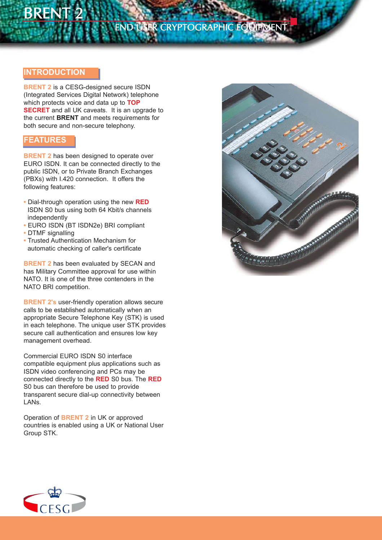# **BRENT**

# END USER CRYPTOGRAPHIC EQUIPMENT

## **INTRODUCTION**

**BRENT 2** is a CESG-designed secure ISDN (Integrated Services Digital Network) telephone which protects voice and data up to **TOP SECRET** and all UK caveats. It is an upgrade to the current **BRENT** and meets requirements for both secure and non-secure telephony.

## **FEATURES**

**BRENT 2** has been designed to operate over EURO ISDN. It can be connected directly to the public ISDN, or to Private Branch Exchanges (PBXs) with I.420 connection. It offers the following features:

- **•** Dial-through operation using the new **RED** ISDN S0 bus using both 64 Kbit/s channels independently
- **•** EURO ISDN (BT ISDN2e) BRI compliant
- **•** DTMF signalling
- **•** Trusted Authentication Mechanism for automatic checking of caller's certificate

**BRENT 2** has been evaluated by SECAN and has Military Committee approval for use within NATO. It is one of the three contenders in the NATO BRI competition.

**BRENT 2's** user-friendly operation allows secure calls to be established automatically when an appropriate Secure Telephone Key (STK) is used in each telephone. The unique user STK provides secure call authentication and ensures low key management overhead.

Commercial EURO ISDN S0 interface compatible equipment plus applications such as ISDN video conferencing and PCs may be connected directly to the **RED** S0 bus. The **RED** S0 bus can therefore be used to provide transparent secure dial-up connectivity between LANs.

Operation of **BRENT 2** in UK or approved countries is enabled using a UK or National User Group STK.